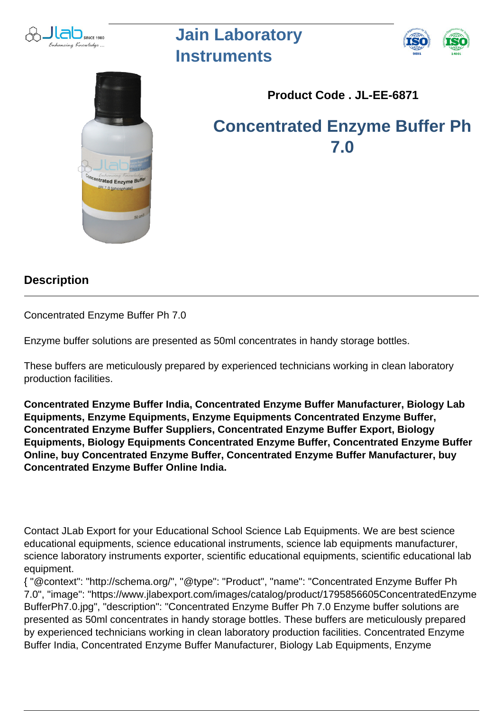

## **Jain Laboratory Instruments**





**Product Code . JL-EE-6871**

**Concentrated Enzyme Buffer Ph 7.0**

## **Description**

Concentrated Enzyme Buffer Ph 7.0

Enzyme buffer solutions are presented as 50ml concentrates in handy storage bottles.

These buffers are meticulously prepared by experienced technicians working in clean laboratory production facilities.

**Concentrated Enzyme Buffer India, Concentrated Enzyme Buffer Manufacturer, Biology Lab Equipments, Enzyme Equipments, Enzyme Equipments Concentrated Enzyme Buffer, Concentrated Enzyme Buffer Suppliers, Concentrated Enzyme Buffer Export, Biology Equipments, Biology Equipments Concentrated Enzyme Buffer, Concentrated Enzyme Buffer Online, buy Concentrated Enzyme Buffer, Concentrated Enzyme Buffer Manufacturer, buy Concentrated Enzyme Buffer Online India.**

Contact JLab Export for your Educational School Science Lab Equipments. We are best science educational equipments, science educational instruments, science lab equipments manufacturer, science laboratory instruments exporter, scientific educational equipments, scientific educational lab equipment.

{ "@context": "http://schema.org/", "@type": "Product", "name": "Concentrated Enzyme Buffer Ph 7.0", "image": "https://www.jlabexport.com/images/catalog/product/1795856605ConcentratedEnzyme BufferPh7.0.jpg", "description": "Concentrated Enzyme Buffer Ph 7.0 Enzyme buffer solutions are presented as 50ml concentrates in handy storage bottles. These buffers are meticulously prepared by experienced technicians working in clean laboratory production facilities. Concentrated Enzyme Buffer India, Concentrated Enzyme Buffer Manufacturer, Biology Lab Equipments, Enzyme